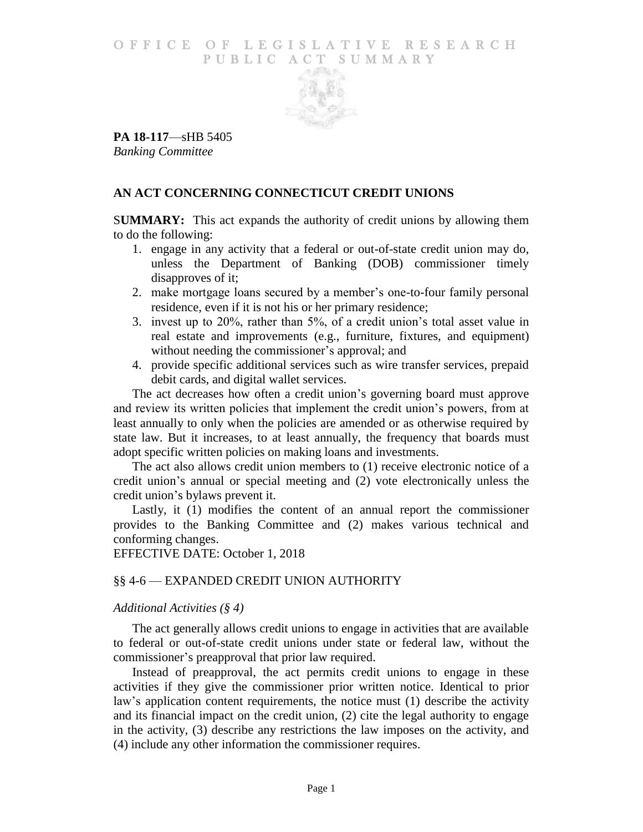## O F FICE OF LEGISLATIVE RESEARCH PUBLIC ACT SUMMARY



**PA 18-117**—sHB 5405 *Banking Committee*

# **AN ACT CONCERNING CONNECTICUT CREDIT UNIONS**

S**UMMARY:** This act expands the authority of credit unions by allowing them to do the following:

- 1. engage in any activity that a federal or out-of-state credit union may do, unless the Department of Banking (DOB) commissioner timely disapproves of it;
- 2. make mortgage loans secured by a member's one-to-four family personal residence, even if it is not his or her primary residence;
- 3. invest up to 20%, rather than 5%, of a credit union's total asset value in real estate and improvements (e.g., furniture, fixtures, and equipment) without needing the commissioner's approval; and
- 4. provide specific additional services such as wire transfer services, prepaid debit cards, and digital wallet services.

The act decreases how often a credit union's governing board must approve and review its written policies that implement the credit union's powers, from at least annually to only when the policies are amended or as otherwise required by state law. But it increases, to at least annually, the frequency that boards must adopt specific written policies on making loans and investments.

The act also allows credit union members to (1) receive electronic notice of a credit union's annual or special meeting and (2) vote electronically unless the credit union's bylaws prevent it.

Lastly, it (1) modifies the content of an annual report the commissioner provides to the Banking Committee and (2) makes various technical and conforming changes.

# EFFECTIVE DATE: October 1, 2018

# §§ 4-6 — EXPANDED CREDIT UNION AUTHORITY

# *Additional Activities (§ 4)*

The act generally allows credit unions to engage in activities that are available to federal or out-of-state credit unions under state or federal law, without the commissioner's preapproval that prior law required.

Instead of preapproval, the act permits credit unions to engage in these activities if they give the commissioner prior written notice. Identical to prior law's application content requirements, the notice must (1) describe the activity and its financial impact on the credit union, (2) cite the legal authority to engage in the activity, (3) describe any restrictions the law imposes on the activity, and (4) include any other information the commissioner requires.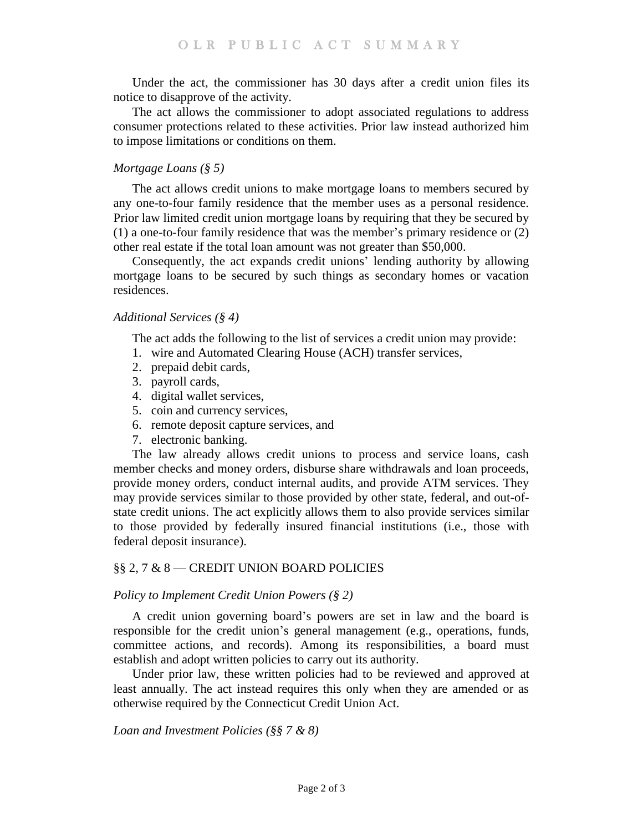Under the act, the commissioner has 30 days after a credit union files its notice to disapprove of the activity.

The act allows the commissioner to adopt associated regulations to address consumer protections related to these activities. Prior law instead authorized him to impose limitations or conditions on them.

## *Mortgage Loans (§ 5)*

The act allows credit unions to make mortgage loans to members secured by any one-to-four family residence that the member uses as a personal residence. Prior law limited credit union mortgage loans by requiring that they be secured by (1) a one-to-four family residence that was the member's primary residence or (2) other real estate if the total loan amount was not greater than \$50,000.

Consequently, the act expands credit unions' lending authority by allowing mortgage loans to be secured by such things as secondary homes or vacation residences.

#### *Additional Services (§ 4)*

The act adds the following to the list of services a credit union may provide:

- 1. wire and Automated Clearing House (ACH) transfer services,
- 2. prepaid debit cards,
- 3. payroll cards,
- 4. digital wallet services,
- 5. coin and currency services,
- 6. remote deposit capture services, and
- 7. electronic banking.

The law already allows credit unions to process and service loans, cash member checks and money orders, disburse share withdrawals and loan proceeds, provide money orders, conduct internal audits, and provide ATM services. They may provide services similar to those provided by other state, federal, and out-ofstate credit unions. The act explicitly allows them to also provide services similar to those provided by federally insured financial institutions (i.e., those with federal deposit insurance).

#### §§ 2, 7 & 8 — CREDIT UNION BOARD POLICIES

#### *Policy to Implement Credit Union Powers (§ 2)*

A credit union governing board's powers are set in law and the board is responsible for the credit union's general management (e.g., operations, funds, committee actions, and records). Among its responsibilities, a board must establish and adopt written policies to carry out its authority.

Under prior law, these written policies had to be reviewed and approved at least annually. The act instead requires this only when they are amended or as otherwise required by the Connecticut Credit Union Act.

## *Loan and Investment Policies (§§ 7 & 8)*